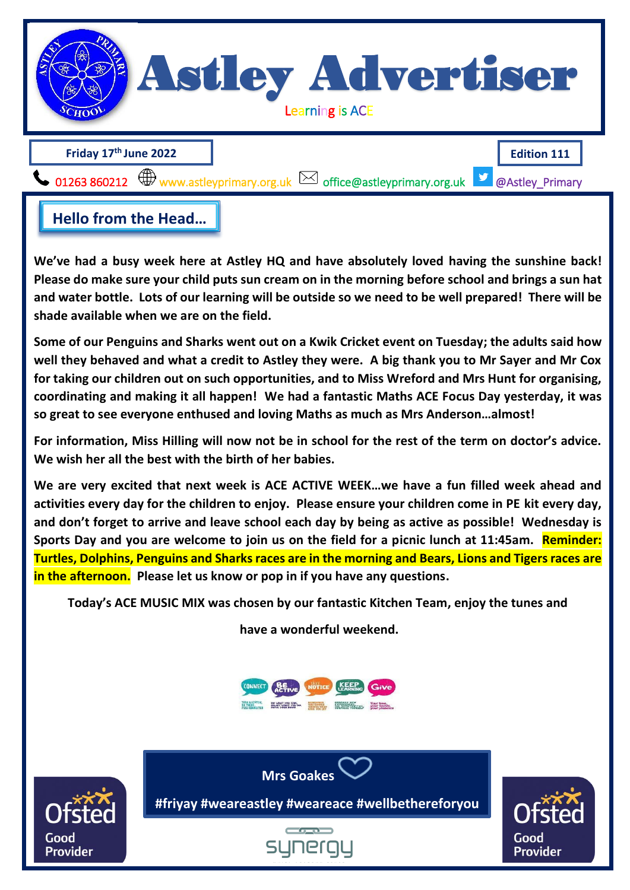

We've had a busy week here at Astley HQ and have absolutely loved having the sunshine back! and water bottle. Lots of our learning will be outs[ide so we need to be well p](mailto:office@astleyprimary.org.uk)repared! There will be **and prepared! Please do make sure your child puts sun cream on in the morning before school and brings a sun hat shade available when we are on the field.**

**Some of our Penguins and Sharks went out on a Kwik Cricket event on Tuesday; the adults said how well they behaved and what a credit to Astley they were. A big thank you to Mr Sayer and Mr Cox for taking our children out on such opportunities, and to Miss Wreford and Mrs Hunt for organising, coordinating and making it all happen! We had a fantastic Maths ACE Focus Day yesterday, it was so great to see everyone enthused and loving Maths as much as Mrs Anderson…almost!**

**For information, Miss Hilling will now not be in school for the rest of the term on doctor's advice. We wish her all the best with the birth of her babies.** 

**We are very excited that next week is ACE ACTIVE WEEK…we have a fun filled week ahead and activities every day for the children to enjoy. Please ensure your children come in PE kit every day, and don't forget to arrive and leave school each day by being as active as possible! Wednesday is Sports Day and you are welcome to join us on the field for a picnic lunch at 11:45am. Reminder: Turtles, Dolphins, Penguins and Sharks races are in the morning and Bears, Lions and Tigers races are in the afternoon. Please let us know or pop in if you have any questions. Hello from the Head…**

**Today's ACE MUSIC MIX was chosen by our fantastic Kitchen Team, enjoy the tunes and** 

**have a wonderful weekend.**





**#friyay #weareastley #weareace #wellbethereforyou**

**#friyay #weareastley #weareace #wellbethereforyou**

**Mrs Goakes**